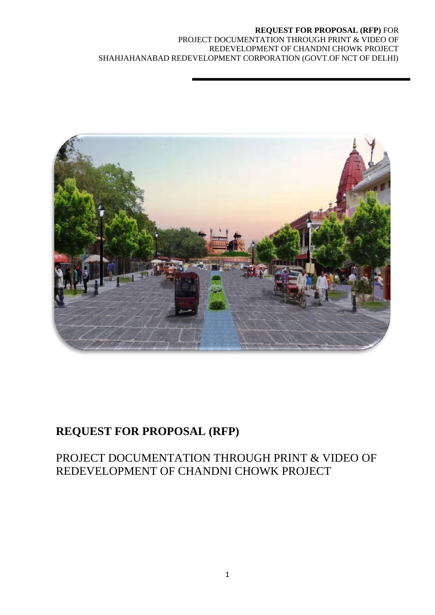

# **REQUEST FOR PROPOSAL (RFP)**

# PROJECT DOCUMENTATION THROUGH PRINT & VIDEO OF REDEVELOPMENT OF CHANDNI CHOWK PROJECT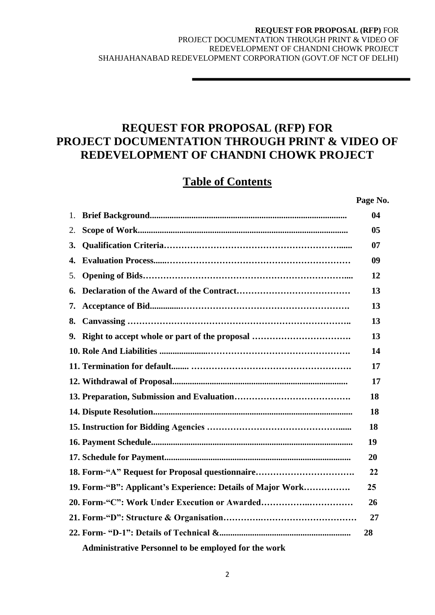# **REQUEST FOR PROPOSAL (RFP) FOR PROJECT DOCUMENTATION THROUGH PRINT & VIDEO OF REDEVELOPMENT OF CHANDNI CHOWK PROJECT**

# **Table of Contents**

**Page No.**

| 1. |                                                             | 04 |
|----|-------------------------------------------------------------|----|
| 2. |                                                             | 05 |
| 3. |                                                             | 07 |
| 4. |                                                             | 09 |
| 5. |                                                             | 12 |
| 6. |                                                             | 13 |
| 7. |                                                             | 13 |
| 8. |                                                             | 13 |
| 9. | Right to accept whole or part of the proposal               | 13 |
|    |                                                             | 14 |
|    |                                                             | 17 |
|    |                                                             | 17 |
|    |                                                             | 18 |
|    |                                                             | 18 |
|    |                                                             | 18 |
|    |                                                             | 19 |
|    |                                                             | 20 |
|    | 18. Form-"A" Request for Proposal questionnaire             | 22 |
|    | 19. Form-"B": Applicant's Experience: Details of Major Work | 25 |
|    |                                                             | 26 |
|    |                                                             | 27 |
|    |                                                             | 28 |
|    | <b>Administrative Personnel to be employed for the work</b> |    |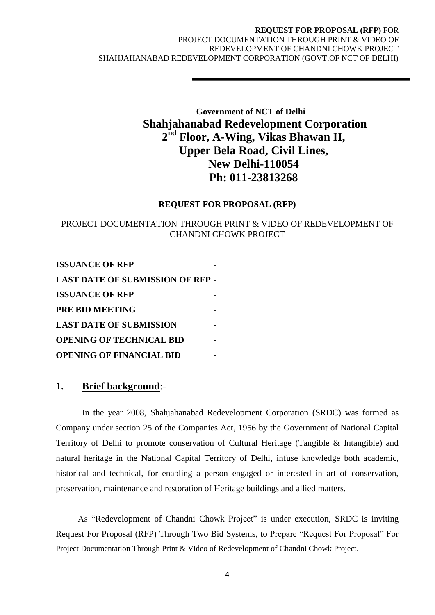# **Government of NCT of Delhi Shahjahanabad Redevelopment Corporation 2 nd Floor, A-Wing, Vikas Bhawan II, Upper Bela Road, Civil Lines, New Delhi-110054 Ph: 011-23813268**

#### **REQUEST FOR PROPOSAL (RFP)**

## PROJECT DOCUMENTATION THROUGH PRINT & VIDEO OF REDEVELOPMENT OF CHANDNI CHOWK PROJECT

**ISSUANCE OF RFP LAST DATE OF SUBMISSION OF RFP - ISSUANCE OF RFP PRE BID MEETING - LAST DATE OF SUBMISSION OPENING OF TECHNICAL BID - OPENING OF FINANCIAL BID -**

## **1. Brief background**:-

In the year 2008, Shahjahanabad Redevelopment Corporation (SRDC) was formed as Company under section 25 of the Companies Act, 1956 by the Government of National Capital Territory of Delhi to promote conservation of Cultural Heritage (Tangible & Intangible) and natural heritage in the National Capital Territory of Delhi, infuse knowledge both academic, historical and technical, for enabling a person engaged or interested in art of conservation, preservation, maintenance and restoration of Heritage buildings and allied matters.

 As "Redevelopment of Chandni Chowk Project" is under execution, SRDC is inviting Request For Proposal (RFP) Through Two Bid Systems, to Prepare "Request For Proposal" For Project Documentation Through Print & Video of Redevelopment of Chandni Chowk Project.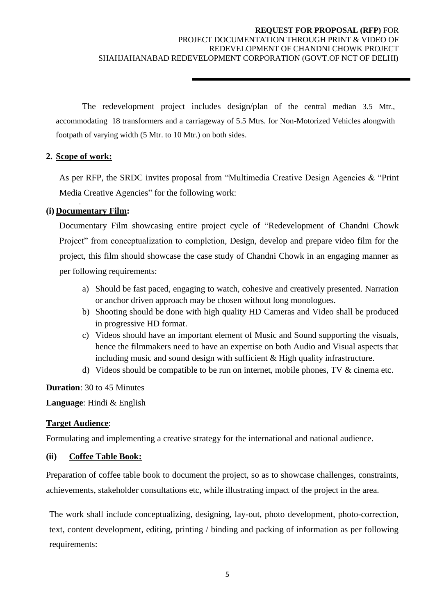The redevelopment project includes design/plan of the central median 3.5 Mtr., accommodating 18 transformers and a carriageway of 5.5 Mtrs. for Non-Motorized Vehicles alongwith footpath of varying width (5 Mtr. to 10 Mtr.) on both sides.

## **2. Scope of work:**

As per RFP, the SRDC invites proposal from "Multimedia Creative Design Agencies & "Print Media Creative Agencies" for the following work:

## **(i) Documentary Film:**

Documentary Film showcasing entire project cycle of "Redevelopment of Chandni Chowk Project" from conceptualization to completion, Design, develop and prepare video film for the project, this film should showcase the case study of Chandni Chowk in an engaging manner as per following requirements:

- a) Should be fast paced, engaging to watch, cohesive and creatively presented. Narration or anchor driven approach may be chosen without long monologues.
- b) Shooting should be done with high quality HD Cameras and Video shall be produced in progressive HD format.
- c) Videos should have an important element of Music and Sound supporting the visuals, hence the filmmakers need to have an expertise on both Audio and Visual aspects that including music and sound design with sufficient & High quality infrastructure.
- d) Videos should be compatible to be run on internet, mobile phones, TV & cinema etc.

**Duration**: 30 to 45 Minutes

**Language**: Hindi & English

## **Target Audience**:

Formulating and implementing a creative strategy for the international and national audience.

#### **(ii) Coffee Table Book:**

Preparation of coffee table book to document the project, so as to showcase challenges, constraints, achievements, stakeholder consultations etc, while illustrating impact of the project in the area.

The work shall include conceptualizing, designing, lay-out, photo development, photo-correction, text, content development, editing, printing / binding and packing of information as per following requirements: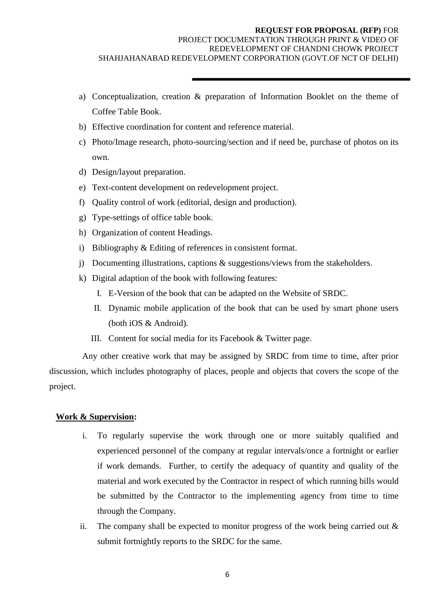- a) Conceptualization, creation & preparation of Information Booklet on the theme of Coffee Table Book.
- b) Effective coordination for content and reference material.
- c) Photo/Image research, photo-sourcing/section and if need be, purchase of photos on its own.
- d) Design/layout preparation.
- e) Text-content development on redevelopment project.
- f) Quality control of work (editorial, design and production).
- g) Type-settings of office table book.
- h) Organization of content Headings.
- i) Bibliography & Editing of references in consistent format.
- j) Documenting illustrations, captions & suggestions/views from the stakeholders.
- k) Digital adaption of the book with following features:
	- I. E-Version of the book that can be adapted on the Website of SRDC.
	- II. Dynamic mobile application of the book that can be used by smart phone users (both iOS & Android).
	- III. Content for social media for its Facebook & Twitter page.

Any other creative work that may be assigned by SRDC from time to time, after prior discussion, which includes photography of places, people and objects that covers the scope of the project.

#### **Work & Supervision:**

- i. To regularly supervise the work through one or more suitably qualified and experienced personnel of the company at regular intervals/once a fortnight or earlier if work demands. Further, to certify the adequacy of quantity and quality of the material and work executed by the Contractor in respect of which running bills would be submitted by the Contractor to the implementing agency from time to time through the Company.
- ii. The company shall be expected to monitor progress of the work being carried out & submit fortnightly reports to the SRDC for the same.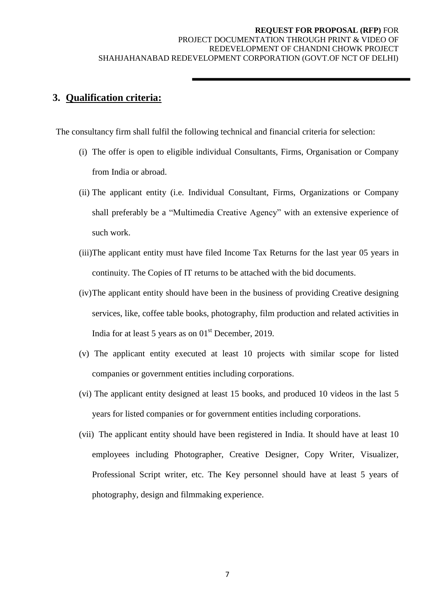## **3. Qualification criteria:**

The consultancy firm shall fulfil the following technical and financial criteria for selection:

- (i) The offer is open to eligible individual Consultants, Firms, Organisation or Company from India or abroad.
- (ii) The applicant entity (i.e. Individual Consultant, Firms, Organizations or Company shall preferably be a "Multimedia Creative Agency" with an extensive experience of such work.
- (iii)The applicant entity must have filed Income Tax Returns for the last year 05 years in continuity. The Copies of IT returns to be attached with the bid documents.
- (iv)The applicant entity should have been in the business of providing Creative designing services, like, coffee table books, photography, film production and related activities in India for at least 5 years as on  $01<sup>st</sup>$  December, 2019.
- (v) The applicant entity executed at least 10 projects with similar scope for listed companies or government entities including corporations.
- (vi) The applicant entity designed at least 15 books, and produced 10 videos in the last 5 years for listed companies or for government entities including corporations.
- (vii) The applicant entity should have been registered in India. It should have at least 10 employees including Photographer, Creative Designer, Copy Writer, Visualizer, Professional Script writer, etc. The Key personnel should have at least 5 years of photography, design and filmmaking experience.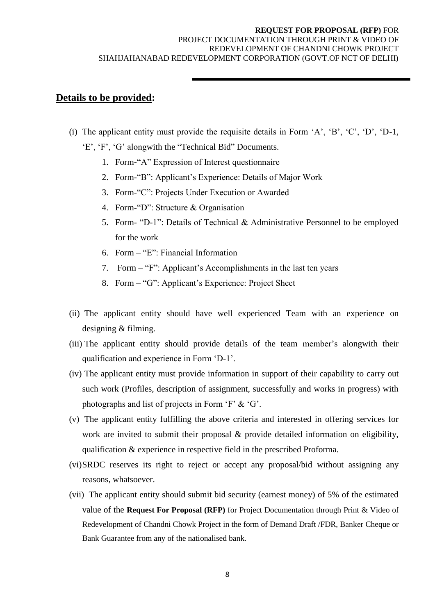## **Details to be provided:**

- (i) The applicant entity must provide the requisite details in Form  $A$ ,  $B$ ,  $C$ ,  $D$ ,  $D-1$ ,
	- 'E', 'F', 'G' alongwith the "Technical Bid" Documents.
		- 1. Form-"A" Expression of Interest questionnaire
		- 2. Form-"B": Applicant"s Experience: Details of Major Work
		- 3. Form-"C": Projects Under Execution or Awarded
		- 4. Form-"D": Structure & Organisation
		- 5. Form- "D-1": Details of Technical & Administrative Personnel to be employed for the work
		- 6. Form "E": Financial Information
		- 7. Form "F": Applicant"s Accomplishments in the last ten years
		- 8. Form "G": Applicant"s Experience: Project Sheet
- (ii) The applicant entity should have well experienced Team with an experience on designing & filming.
- (iii) The applicant entity should provide details of the team member"s alongwith their qualification and experience in Form "D-1".
- (iv) The applicant entity must provide information in support of their capability to carry out such work (Profiles, description of assignment, successfully and works in progress) with photographs and list of projects in Form "F" & "G".
- (v) The applicant entity fulfilling the above criteria and interested in offering services for work are invited to submit their proposal & provide detailed information on eligibility, qualification & experience in respective field in the prescribed Proforma.
- (vi)SRDC reserves its right to reject or accept any proposal/bid without assigning any reasons, whatsoever.
- (vii) The applicant entity should submit bid security (earnest money) of 5% of the estimated value of the **Request For Proposal (RFP)** for Project Documentation through Print & Video of Redevelopment of Chandni Chowk Project in the form of Demand Draft /FDR, Banker Cheque or Bank Guarantee from any of the nationalised bank.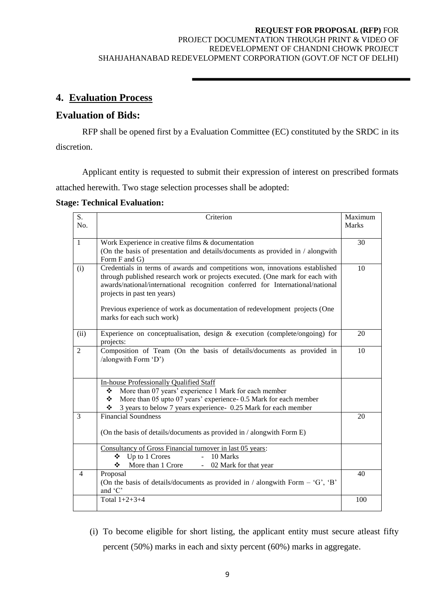## **REQUEST FOR PROPOSAL (RFP)** FOR

#### PROJECT DOCUMENTATION THROUGH PRINT & VIDEO OF REDEVELOPMENT OF CHANDNI CHOWK PROJECT SHAHJAHANABAD REDEVELOPMENT CORPORATION (GOVT.OF NCT OF DELHI)

## **4. Evaluation Process**

## **Evaluation of Bids:**

RFP shall be opened first by a Evaluation Committee (EC) constituted by the SRDC in its discretion.

Applicant entity is requested to submit their expression of interest on prescribed formats attached herewith. Two stage selection processes shall be adopted:

#### **Stage: Technical Evaluation:**

| S.             | Criterion                                                                                        | Maximum      |
|----------------|--------------------------------------------------------------------------------------------------|--------------|
| No.            |                                                                                                  | <b>Marks</b> |
|                |                                                                                                  |              |
| 1              | Work Experience in creative films & documentation                                                | 30           |
|                | (On the basis of presentation and details/documents as provided in / alongwith                   |              |
|                | Form F and G)                                                                                    |              |
| (i)            | Credentials in terms of awards and competitions won, innovations established                     | 10           |
|                | through published research work or projects executed. (One mark for each with                    |              |
|                | awards/national/international recognition conferred for International/national                   |              |
|                | projects in past ten years)                                                                      |              |
|                | Previous experience of work as documentation of redevelopment projects (One                      |              |
|                | marks for each such work)                                                                        |              |
|                |                                                                                                  |              |
| (ii)           | Experience on conceptualisation, design $\&$ execution (complete/ongoing) for                    | 20           |
|                | projects:                                                                                        |              |
| 2              | Composition of Team (On the basis of details/documents as provided in                            | 10           |
|                | /alongwith Form 'D')                                                                             |              |
|                |                                                                                                  |              |
|                | <b>In-house Professionally Qualified Staff</b>                                                   |              |
|                | More than 07 years' experience 1 Mark for each member<br>❖                                       |              |
|                | More than 05 upto 07 years' experience-0.5 Mark for each member<br>❖                             |              |
|                | 3 years to below 7 years experience- 0.25 Mark for each member<br>❖                              |              |
| 3              | <b>Financial Soundness</b>                                                                       | 20           |
|                |                                                                                                  |              |
|                | (On the basis of details/documents as provided in / alongwith Form E)                            |              |
|                |                                                                                                  |              |
|                | Consultancy of Gross Financial turnover in last 05 years:                                        |              |
|                | Up to 1 Crores<br>10 Marks<br>$\Delta \sim 10^4$<br>❖                                            |              |
|                | More than 1 Crore<br>❖<br>02 Mark for that year                                                  |              |
| $\overline{4}$ | Proposal                                                                                         | 40           |
|                | (On the basis of details/documents as provided in / alongwith Form $-$ 'G', 'B'<br>and $\hat{C}$ |              |
|                | Total $1+2+3+4$                                                                                  | 100          |
|                |                                                                                                  |              |

(i) To become eligible for short listing, the applicant entity must secure atleast fifty percent (50%) marks in each and sixty percent (60%) marks in aggregate.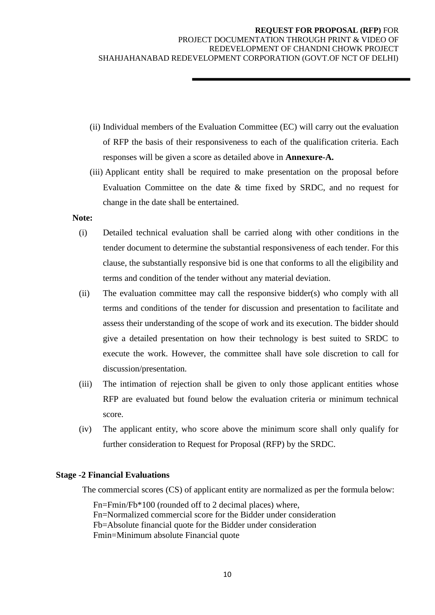- (ii) Individual members of the Evaluation Committee (EC) will carry out the evaluation of RFP the basis of their responsiveness to each of the qualification criteria. Each responses will be given a score as detailed above in **Annexure-A.**
- (iii) Applicant entity shall be required to make presentation on the proposal before Evaluation Committee on the date & time fixed by SRDC, and no request for change in the date shall be entertained.

#### **Note:**

- (i) Detailed technical evaluation shall be carried along with other conditions in the tender document to determine the substantial responsiveness of each tender. For this clause, the substantially responsive bid is one that conforms to all the eligibility and terms and condition of the tender without any material deviation.
- (ii) The evaluation committee may call the responsive bidder(s) who comply with all terms and conditions of the tender for discussion and presentation to facilitate and assess their understanding of the scope of work and its execution. The bidder should give a detailed presentation on how their technology is best suited to SRDC to execute the work. However, the committee shall have sole discretion to call for discussion/presentation.
- (iii) The intimation of rejection shall be given to only those applicant entities whose RFP are evaluated but found below the evaluation criteria or minimum technical score.
- (iv) The applicant entity, who score above the minimum score shall only qualify for further consideration to Request for Proposal (RFP) by the SRDC.

#### **Stage -2 Financial Evaluations**

The commercial scores (CS) of applicant entity are normalized as per the formula below:

 Fn=Fmin/Fb\*100 (rounded off to 2 decimal places) where, Fn=Normalized commercial score for the Bidder under consideration Fb=Absolute financial quote for the Bidder under consideration Fmin=Minimum absolute Financial quote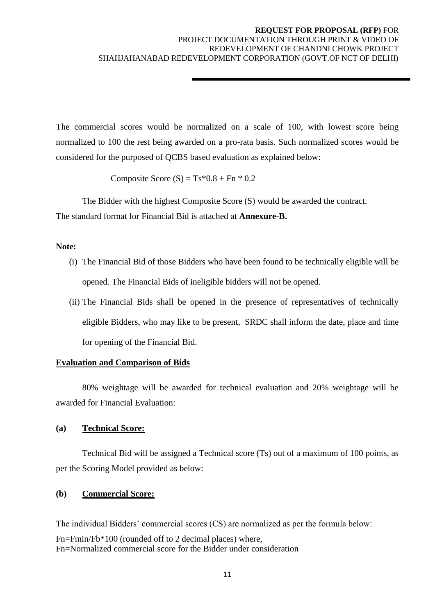The commercial scores would be normalized on a scale of 100, with lowest score being normalized to 100 the rest being awarded on a pro-rata basis. Such normalized scores would be considered for the purposed of QCBS based evaluation as explained below:

Composite Score  $(S) = Ts*0.8 + Fn*0.2$ 

The Bidder with the highest Composite Score (S) would be awarded the contract. The standard format for Financial Bid is attached at **Annexure-B.**

#### **Note:**

- (i) The Financial Bid of those Bidders who have been found to be technically eligible will be opened. The Financial Bids of ineligible bidders will not be opened.
- (ii) The Financial Bids shall be opened in the presence of representatives of technically eligible Bidders, who may like to be present, SRDC shall inform the date, place and time for opening of the Financial Bid.

## **Evaluation and Comparison of Bids**

80% weightage will be awarded for technical evaluation and 20% weightage will be awarded for Financial Evaluation:

## **(a) Technical Score:**

Technical Bid will be assigned a Technical score (Ts) out of a maximum of 100 points, as per the Scoring Model provided as below:

## **(b) Commercial Score:**

The individual Bidders" commercial scores (CS) are normalized as per the formula below: Fn=Fmin/Fb\*100 (rounded off to 2 decimal places) where, Fn=Normalized commercial score for the Bidder under consideration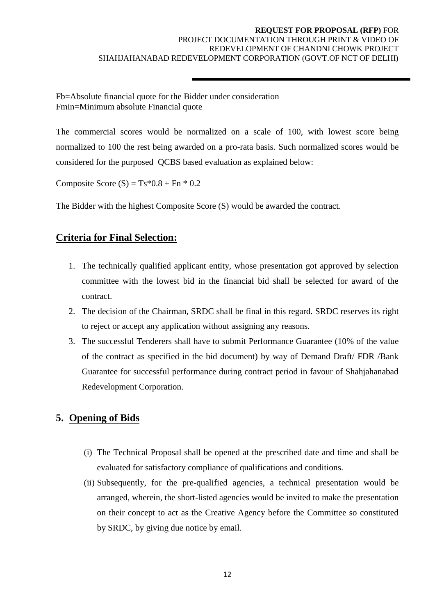Fb=Absolute financial quote for the Bidder under consideration Fmin=Minimum absolute Financial quote

The commercial scores would be normalized on a scale of 100, with lowest score being normalized to 100 the rest being awarded on a pro-rata basis. Such normalized scores would be considered for the purposed QCBS based evaluation as explained below:

Composite Score  $(S) = Ts*0.8 + Fn*0.2$ 

The Bidder with the highest Composite Score (S) would be awarded the contract.

## **Criteria for Final Selection:**

- 1. The technically qualified applicant entity, whose presentation got approved by selection committee with the lowest bid in the financial bid shall be selected for award of the contract.
- 2. The decision of the Chairman, SRDC shall be final in this regard. SRDC reserves its right to reject or accept any application without assigning any reasons.
- 3. The successful Tenderers shall have to submit Performance Guarantee (10% of the value of the contract as specified in the bid document) by way of Demand Draft/ FDR /Bank Guarantee for successful performance during contract period in favour of Shahjahanabad Redevelopment Corporation.

## **5. Opening of Bids**

- (i) The Technical Proposal shall be opened at the prescribed date and time and shall be evaluated for satisfactory compliance of qualifications and conditions.
- (ii) Subsequently, for the pre-qualified agencies, a technical presentation would be arranged, wherein, the short-listed agencies would be invited to make the presentation on their concept to act as the Creative Agency before the Committee so constituted by SRDC, by giving due notice by email.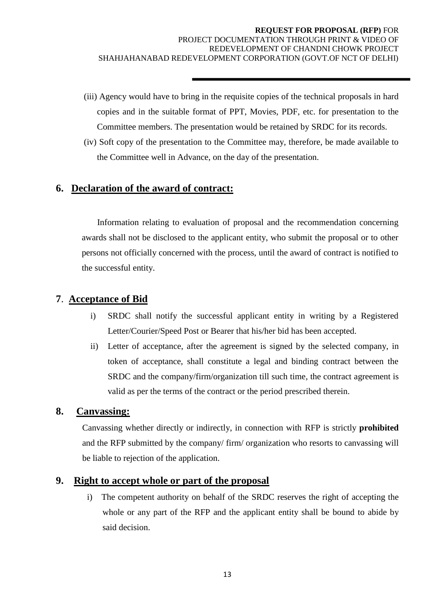- (iii) Agency would have to bring in the requisite copies of the technical proposals in hard copies and in the suitable format of PPT, Movies, PDF, etc. for presentation to the Committee members. The presentation would be retained by SRDC for its records.
- (iv) Soft copy of the presentation to the Committee may, therefore, be made available to the Committee well in Advance, on the day of the presentation.

## **6. Declaration of the award of contract:**

 Information relating to evaluation of proposal and the recommendation concerning awards shall not be disclosed to the applicant entity, who submit the proposal or to other persons not officially concerned with the process, until the award of contract is notified to the successful entity.

## **7**. **Acceptance of Bid**

- i) SRDC shall notify the successful applicant entity in writing by a Registered Letter/Courier/Speed Post or Bearer that his/her bid has been accepted.
- ii) Letter of acceptance, after the agreement is signed by the selected company, in token of acceptance, shall constitute a legal and binding contract between the SRDC and the company/firm/organization till such time, the contract agreement is valid as per the terms of the contract or the period prescribed therein.

## **8. Canvassing:**

Canvassing whether directly or indirectly, in connection with RFP is strictly **prohibited**  and the RFP submitted by the company/ firm/ organization who resorts to canvassing will be liable to rejection of the application.

## **9. Right to accept whole or part of the proposal**

i) The competent authority on behalf of the SRDC reserves the right of accepting the whole or any part of the RFP and the applicant entity shall be bound to abide by said decision.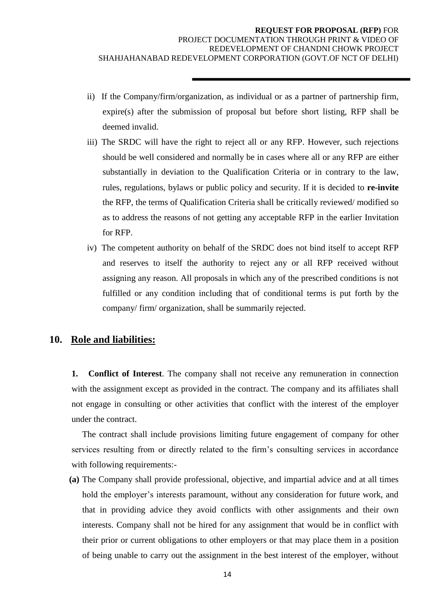- ii) If the Company/firm/organization, as individual or as a partner of partnership firm, expire(s) after the submission of proposal but before short listing, RFP shall be deemed invalid.
- iii) The SRDC will have the right to reject all or any RFP. However, such rejections should be well considered and normally be in cases where all or any RFP are either substantially in deviation to the Qualification Criteria or in contrary to the law, rules, regulations, bylaws or public policy and security. If it is decided to **re-invite**  the RFP, the terms of Qualification Criteria shall be critically reviewed/ modified so as to address the reasons of not getting any acceptable RFP in the earlier Invitation for RFP.
- iv) The competent authority on behalf of the SRDC does not bind itself to accept RFP and reserves to itself the authority to reject any or all RFP received without assigning any reason. All proposals in which any of the prescribed conditions is not fulfilled or any condition including that of conditional terms is put forth by the company/ firm/ organization, shall be summarily rejected.

## **10. Role and liabilities:**

**1. Conflict of Interest**. The company shall not receive any remuneration in connection with the assignment except as provided in the contract. The company and its affiliates shall not engage in consulting or other activities that conflict with the interest of the employer under the contract.

The contract shall include provisions limiting future engagement of company for other services resulting from or directly related to the firm"s consulting services in accordance with following requirements:-

**(a)** The Company shall provide professional, objective, and impartial advice and at all times hold the employer's interests paramount, without any consideration for future work, and that in providing advice they avoid conflicts with other assignments and their own interests. Company shall not be hired for any assignment that would be in conflict with their prior or current obligations to other employers or that may place them in a position of being unable to carry out the assignment in the best interest of the employer, without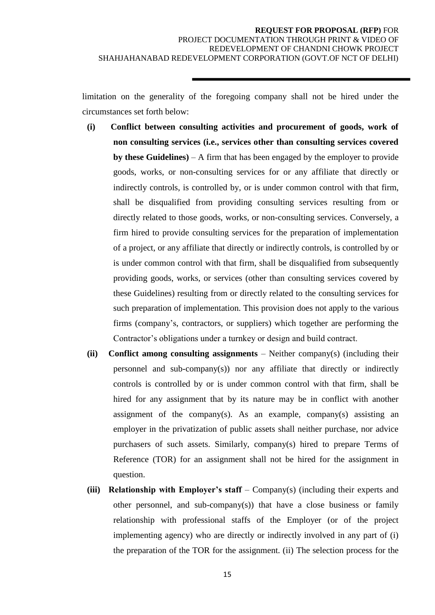limitation on the generality of the foregoing company shall not be hired under the circumstances set forth below:

- **(i) Conflict between consulting activities and procurement of goods, work of non consulting services (i.e., services other than consulting services covered by these Guidelines)** – A firm that has been engaged by the employer to provide goods, works, or non-consulting services for or any affiliate that directly or indirectly controls, is controlled by, or is under common control with that firm, shall be disqualified from providing consulting services resulting from or directly related to those goods, works, or non-consulting services. Conversely, a firm hired to provide consulting services for the preparation of implementation of a project, or any affiliate that directly or indirectly controls, is controlled by or is under common control with that firm, shall be disqualified from subsequently providing goods, works, or services (other than consulting services covered by these Guidelines) resulting from or directly related to the consulting services for such preparation of implementation. This provision does not apply to the various firms (company"s, contractors, or suppliers) which together are performing the Contractor's obligations under a turnkey or design and build contract.
- **(ii) Conflict among consulting assignments**  Neither company(s) (including their personnel and sub-company(s)) nor any affiliate that directly or indirectly controls is controlled by or is under common control with that firm, shall be hired for any assignment that by its nature may be in conflict with another assignment of the company(s). As an example, company(s) assisting an employer in the privatization of public assets shall neither purchase, nor advice purchasers of such assets. Similarly, company(s) hired to prepare Terms of Reference (TOR) for an assignment shall not be hired for the assignment in question.
- **(iii) Relationship with Employer's staff** Company(s) (including their experts and other personnel, and sub-company(s)) that have a close business or family relationship with professional staffs of the Employer (or of the project implementing agency) who are directly or indirectly involved in any part of (i) the preparation of the TOR for the assignment. (ii) The selection process for the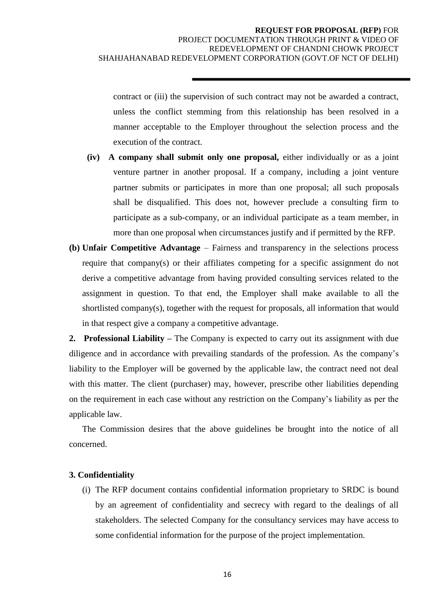contract or (iii) the supervision of such contract may not be awarded a contract, unless the conflict stemming from this relationship has been resolved in a manner acceptable to the Employer throughout the selection process and the execution of the contract.

- **(iv) A company shall submit only one proposal,** either individually or as a joint venture partner in another proposal. If a company, including a joint venture partner submits or participates in more than one proposal; all such proposals shall be disqualified. This does not, however preclude a consulting firm to participate as a sub-company, or an individual participate as a team member, in more than one proposal when circumstances justify and if permitted by the RFP.
- **(b) Unfair Competitive Advantage** Fairness and transparency in the selections process require that company(s) or their affiliates competing for a specific assignment do not derive a competitive advantage from having provided consulting services related to the assignment in question. To that end, the Employer shall make available to all the shortlisted company(s), together with the request for proposals, all information that would in that respect give a company a competitive advantage.

**2. Professional Liability –** The Company is expected to carry out its assignment with due diligence and in accordance with prevailing standards of the profession. As the company"s liability to the Employer will be governed by the applicable law, the contract need not deal with this matter. The client (purchaser) may, however, prescribe other liabilities depending on the requirement in each case without any restriction on the Company"s liability as per the applicable law.

The Commission desires that the above guidelines be brought into the notice of all concerned.

#### **3. Confidentiality**

(i) The RFP document contains confidential information proprietary to SRDC is bound by an agreement of confidentiality and secrecy with regard to the dealings of all stakeholders. The selected Company for the consultancy services may have access to some confidential information for the purpose of the project implementation.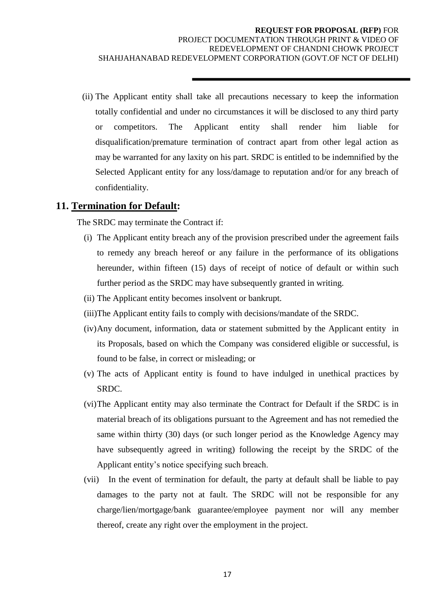(ii) The Applicant entity shall take all precautions necessary to keep the information totally confidential and under no circumstances it will be disclosed to any third party or competitors. The Applicant entity shall render him liable for disqualification/premature termination of contract apart from other legal action as may be warranted for any laxity on his part. SRDC is entitled to be indemnified by the Selected Applicant entity for any loss/damage to reputation and/or for any breach of confidentiality.

### **11. Termination for Default:**

The SRDC may terminate the Contract if:

- (i) The Applicant entity breach any of the provision prescribed under the agreement fails to remedy any breach hereof or any failure in the performance of its obligations hereunder, within fifteen (15) days of receipt of notice of default or within such further period as the SRDC may have subsequently granted in writing.
- (ii) The Applicant entity becomes insolvent or bankrupt.
- (iii)The Applicant entity fails to comply with decisions/mandate of the SRDC.
- (iv)Any document, information, data or statement submitted by the Applicant entity in its Proposals, based on which the Company was considered eligible or successful, is found to be false, in correct or misleading; or
- (v) The acts of Applicant entity is found to have indulged in unethical practices by SRDC.
- (vi)The Applicant entity may also terminate the Contract for Default if the SRDC is in material breach of its obligations pursuant to the Agreement and has not remedied the same within thirty (30) days (or such longer period as the Knowledge Agency may have subsequently agreed in writing) following the receipt by the SRDC of the Applicant entity"s notice specifying such breach.
- (vii) In the event of termination for default, the party at default shall be liable to pay damages to the party not at fault. The SRDC will not be responsible for any charge/lien/mortgage/bank guarantee/employee payment nor will any member thereof, create any right over the employment in the project.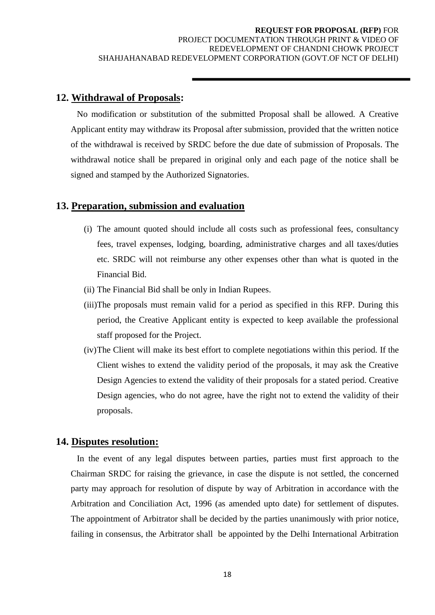## **12. Withdrawal of Proposals:**

No modification or substitution of the submitted Proposal shall be allowed. A Creative Applicant entity may withdraw its Proposal after submission, provided that the written notice of the withdrawal is received by SRDC before the due date of submission of Proposals. The withdrawal notice shall be prepared in original only and each page of the notice shall be signed and stamped by the Authorized Signatories.

## **13. Preparation, submission and evaluation**

- (i) The amount quoted should include all costs such as professional fees, consultancy fees, travel expenses, lodging, boarding, administrative charges and all taxes/duties etc. SRDC will not reimburse any other expenses other than what is quoted in the Financial Bid.
- (ii) The Financial Bid shall be only in Indian Rupees.
- (iii)The proposals must remain valid for a period as specified in this RFP. During this period, the Creative Applicant entity is expected to keep available the professional staff proposed for the Project.
- (iv)The Client will make its best effort to complete negotiations within this period. If the Client wishes to extend the validity period of the proposals, it may ask the Creative Design Agencies to extend the validity of their proposals for a stated period. Creative Design agencies, who do not agree, have the right not to extend the validity of their proposals.

## **14. Disputes resolution:**

In the event of any legal disputes between parties, parties must first approach to the Chairman SRDC for raising the grievance, in case the dispute is not settled, the concerned party may approach for resolution of dispute by way of Arbitration in accordance with the Arbitration and Conciliation Act, 1996 (as amended upto date) for settlement of disputes. The appointment of Arbitrator shall be decided by the parties unanimously with prior notice, failing in consensus, the Arbitrator shall be appointed by the Delhi International Arbitration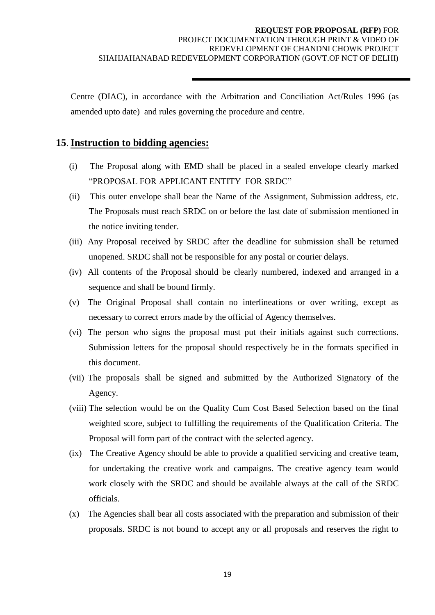Centre (DIAC), in accordance with the Arbitration and Conciliation Act/Rules 1996 (as amended upto date) and rules governing the procedure and centre.

## **15**. **Instruction to bidding agencies:**

- (i) The Proposal along with EMD shall be placed in a sealed envelope clearly marked "PROPOSAL FOR APPLICANT ENTITY FOR SRDC"
- (ii) This outer envelope shall bear the Name of the Assignment, Submission address, etc. The Proposals must reach SRDC on or before the last date of submission mentioned in the notice inviting tender.
- (iii) Any Proposal received by SRDC after the deadline for submission shall be returned unopened. SRDC shall not be responsible for any postal or courier delays.
- (iv) All contents of the Proposal should be clearly numbered, indexed and arranged in a sequence and shall be bound firmly.
- (v) The Original Proposal shall contain no interlineations or over writing, except as necessary to correct errors made by the official of Agency themselves.
- (vi) The person who signs the proposal must put their initials against such corrections. Submission letters for the proposal should respectively be in the formats specified in this document.
- (vii) The proposals shall be signed and submitted by the Authorized Signatory of the Agency.
- (viii) The selection would be on the Quality Cum Cost Based Selection based on the final weighted score, subject to fulfilling the requirements of the Qualification Criteria. The Proposal will form part of the contract with the selected agency.
- (ix) The Creative Agency should be able to provide a qualified servicing and creative team, for undertaking the creative work and campaigns. The creative agency team would work closely with the SRDC and should be available always at the call of the SRDC officials.
- (x) The Agencies shall bear all costs associated with the preparation and submission of their proposals. SRDC is not bound to accept any or all proposals and reserves the right to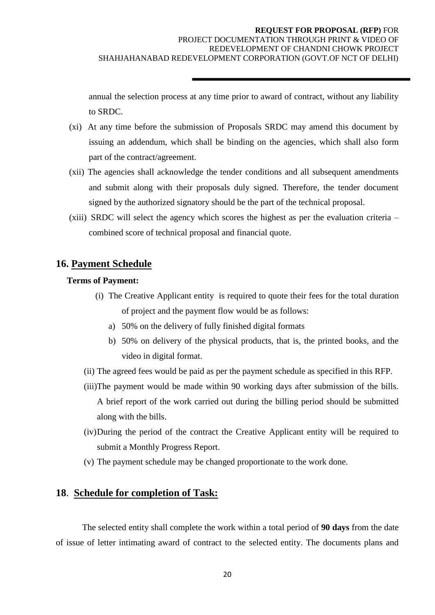annual the selection process at any time prior to award of contract, without any liability to SRDC.

- (xi) At any time before the submission of Proposals SRDC may amend this document by issuing an addendum, which shall be binding on the agencies, which shall also form part of the contract/agreement.
- (xii) The agencies shall acknowledge the tender conditions and all subsequent amendments and submit along with their proposals duly signed. Therefore, the tender document signed by the authorized signatory should be the part of the technical proposal.
- (xiii) SRDC will select the agency which scores the highest as per the evaluation criteria combined score of technical proposal and financial quote.

## **16. Payment Schedule**

## **Terms of Payment:**

- (i) The Creative Applicant entity is required to quote their fees for the total duration of project and the payment flow would be as follows:
	- a) 50% on the delivery of fully finished digital formats
	- b) 50% on delivery of the physical products, that is, the printed books, and the video in digital format.
- (ii) The agreed fees would be paid as per the payment schedule as specified in this RFP.
- (iii)The payment would be made within 90 working days after submission of the bills. A brief report of the work carried out during the billing period should be submitted along with the bills.
- (iv)During the period of the contract the Creative Applicant entity will be required to submit a Monthly Progress Report.
- (v) The payment schedule may be changed proportionate to the work done.

## **18**. **Schedule for completion of Task:**

The selected entity shall complete the work within a total period of **90 days** from the date of issue of letter intimating award of contract to the selected entity. The documents plans and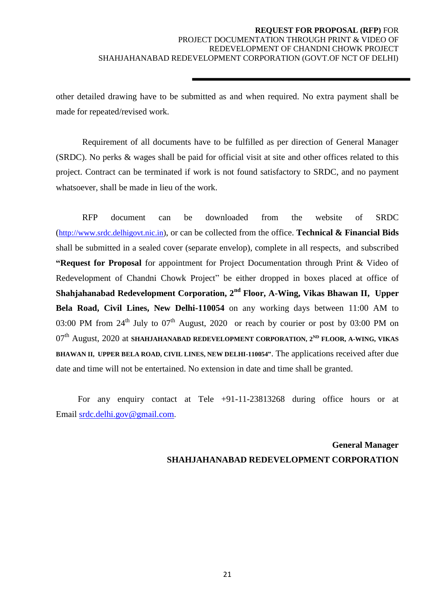other detailed drawing have to be submitted as and when required. No extra payment shall be made for repeated/revised work.

Requirement of all documents have to be fulfilled as per direction of General Manager (SRDC). No perks & wages shall be paid for official visit at site and other offices related to this project. Contract can be terminated if work is not found satisfactory to SRDC, and no payment whatsoever, shall be made in lieu of the work.

RFP document can be downloaded from the website of SRDC ([http://www.srdc.delhigovt.nic.in\)](http://www.srdc.delhigovt.nic.in/), or can be collected from the office. **Technical & Financial Bids** shall be submitted in a sealed cover (separate envelop), complete in all respects, and subscribed **"Request for Proposal** for appointment for Project Documentation through Print & Video of Redevelopment of Chandni Chowk Project" be either dropped in boxes placed at office of **Shahjahanabad Redevelopment Corporation, 2nd Floor, A-Wing, Vikas Bhawan II, Upper Bela Road, Civil Lines, New Delhi-110054** on any working days between 11:00 AM to 03:00 PM from  $24^{th}$  July to  $07^{th}$  August, 2020 or reach by courier or post by 03:00 PM on 07th August, 2020 at **SHAHJAHANABAD REDEVELOPMENT CORPORATION, 2ND FLOOR, A-WING, VIKAS BHAWAN II, UPPER BELA ROAD, CIVIL LINES, NEW DELHI-110054"**. The applications received after due date and time will not be entertained. No extension in date and time shall be granted.

 For any enquiry contact at Tele +91-11-23813268 during office hours or at Email [srdc.delhi.gov@gmail.com](mailto:srdc.delhi.gov@gmail.com).

> **General Manager SHAHJAHANABAD REDEVELOPMENT CORPORATION**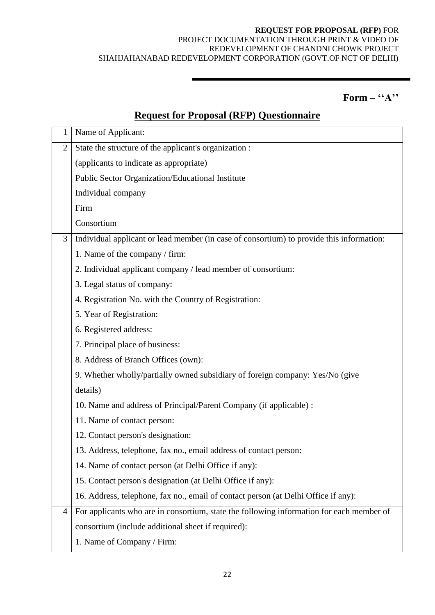## $\mathbf{Form} - "A"$

# **Request for Proposal (RFP) Questionnaire**

| 1              | Name of Applicant:                                                                       |
|----------------|------------------------------------------------------------------------------------------|
| $\overline{2}$ | State the structure of the applicant's organization :                                    |
|                | (applicants to indicate as appropriate)                                                  |
|                | Public Sector Organization/Educational Institute                                         |
|                | Individual company                                                                       |
|                | Firm                                                                                     |
|                | Consortium                                                                               |
| 3              | Individual applicant or lead member (in case of consortium) to provide this information: |
|                | 1. Name of the company / firm:                                                           |
|                | 2. Individual applicant company / lead member of consortium:                             |
|                | 3. Legal status of company:                                                              |
|                | 4. Registration No. with the Country of Registration:                                    |
|                | 5. Year of Registration:                                                                 |
|                | 6. Registered address:                                                                   |
|                | 7. Principal place of business:                                                          |
|                | 8. Address of Branch Offices (own):                                                      |
|                | 9. Whether wholly/partially owned subsidiary of foreign company: Yes/No (give            |
|                | details)                                                                                 |
|                | 10. Name and address of Principal/Parent Company (if applicable) :                       |
|                | 11. Name of contact person:                                                              |
|                | 12. Contact person's designation:                                                        |
|                | 13. Address, telephone, fax no., email address of contact person:                        |
|                | 14. Name of contact person (at Delhi Office if any):                                     |
|                | 15. Contact person's designation (at Delhi Office if any):                               |
|                | 16. Address, telephone, fax no., email of contact person (at Delhi Office if any):       |
| $\overline{4}$ | For applicants who are in consortium, state the following information for each member of |
|                | consortium (include additional sheet if required):                                       |
|                | 1. Name of Company / Firm:                                                               |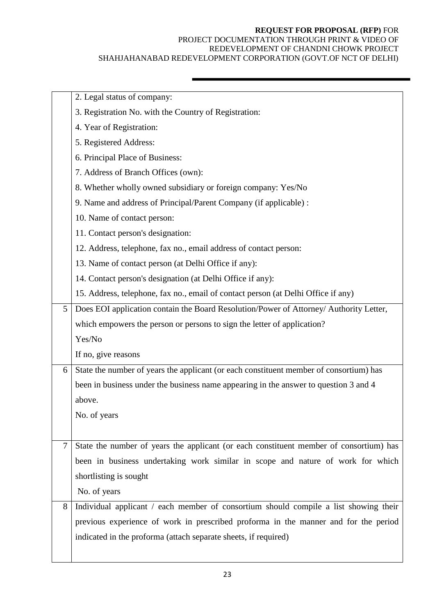## **REQUEST FOR PROPOSAL (RFP)** FOR

#### PROJECT DOCUMENTATION THROUGH PRINT & VIDEO OF REDEVELOPMENT OF CHANDNI CHOWK PROJECT SHAHJAHANABAD REDEVELOPMENT CORPORATION (GOVT.OF NCT OF DELHI)

|   | 2. Legal status of company:                                                            |
|---|----------------------------------------------------------------------------------------|
|   | 3. Registration No. with the Country of Registration:                                  |
|   | 4. Year of Registration:                                                               |
|   | 5. Registered Address:                                                                 |
|   | 6. Principal Place of Business:                                                        |
|   | 7. Address of Branch Offices (own):                                                    |
|   | 8. Whether wholly owned subsidiary or foreign company: Yes/No                          |
|   | 9. Name and address of Principal/Parent Company (if applicable) :                      |
|   | 10. Name of contact person:                                                            |
|   | 11. Contact person's designation:                                                      |
|   | 12. Address, telephone, fax no., email address of contact person:                      |
|   | 13. Name of contact person (at Delhi Office if any):                                   |
|   | 14. Contact person's designation (at Delhi Office if any):                             |
|   | 15. Address, telephone, fax no., email of contact person (at Delhi Office if any)      |
| 5 | Does EOI application contain the Board Resolution/Power of Attorney/ Authority Letter, |
|   | which empowers the person or persons to sign the letter of application?                |
|   | Yes/No                                                                                 |
|   | If no, give reasons                                                                    |
| 6 | State the number of years the applicant (or each constituent member of consortium) has |
|   | been in business under the business name appearing in the answer to question 3 and 4   |
|   | above.                                                                                 |
|   | No. of years                                                                           |
|   |                                                                                        |
| 7 | State the number of years the applicant (or each constituent member of consortium) has |
|   | been in business undertaking work similar in scope and nature of work for which        |
|   | shortlisting is sought                                                                 |
|   | No. of years                                                                           |
| 8 | Individual applicant / each member of consortium should compile a list showing their   |
|   | previous experience of work in prescribed proforma in the manner and for the period    |
|   | indicated in the proforma (attach separate sheets, if required)                        |
|   |                                                                                        |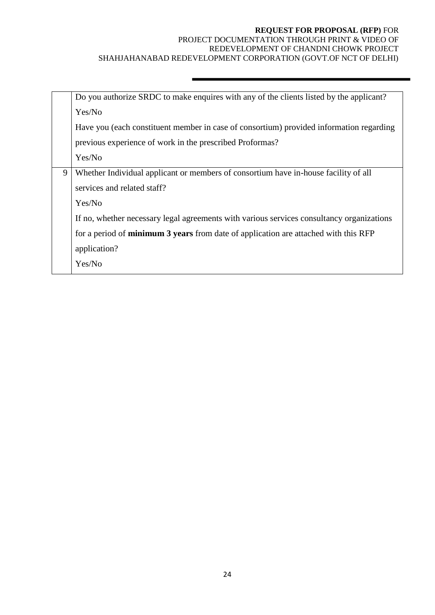|   | Do you authorize SRDC to make enquires with any of the clients listed by the applicant?    |
|---|--------------------------------------------------------------------------------------------|
|   | Yes/No                                                                                     |
|   | Have you (each constituent member in case of consortium) provided information regarding    |
|   | previous experience of work in the prescribed Proformas?                                   |
|   | Yes/No                                                                                     |
| 9 | Whether Individual applicant or members of consortium have in-house facility of all        |
|   | services and related staff?                                                                |
|   | Yes/No                                                                                     |
|   | If no, whether necessary legal agreements with various services consultancy organizations  |
|   | for a period of <b>minimum 3 years</b> from date of application are attached with this RFP |
|   | application?                                                                               |
|   | Yes/No                                                                                     |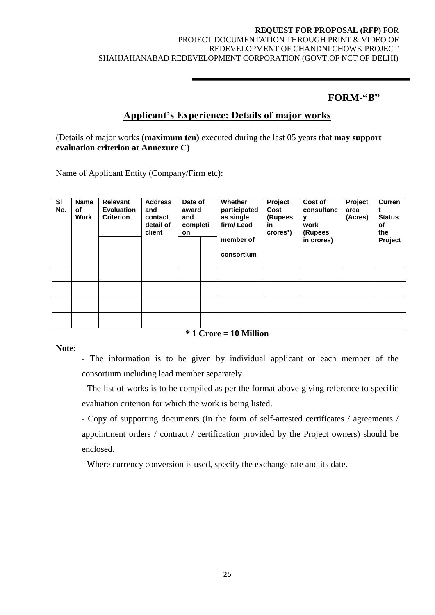## **FORM-"B"**

## **Applicant"s Experience: Details of major works**

(Details of major works **(maximum ten)** executed during the last 05 years that **may support evaluation criterion at Annexure C)**

Name of Applicant Entity (Company/Firm etc):

| <b>SI</b><br>No. | Name<br>of<br>Work | Relevant<br><b>Evaluation</b><br><b>Criterion</b> | <b>Address</b><br>and<br>contact<br>detail of<br>client | Date of<br>award<br>and<br>completi<br><b>on</b> | <b>Whether</b><br>participated<br>as single<br>firm/Lead<br>member of<br>consortium | Project<br>Cost<br>(Rupees<br>in<br>crores*) | Cost of<br>consultanc<br>y<br>work<br>(Rupees<br>in crores) | Project<br>area<br>(Acres) | <b>Curren</b><br><b>Status</b><br>of<br>the<br>Project |
|------------------|--------------------|---------------------------------------------------|---------------------------------------------------------|--------------------------------------------------|-------------------------------------------------------------------------------------|----------------------------------------------|-------------------------------------------------------------|----------------------------|--------------------------------------------------------|
|                  |                    |                                                   |                                                         |                                                  |                                                                                     |                                              |                                                             |                            |                                                        |
|                  |                    |                                                   |                                                         |                                                  |                                                                                     |                                              |                                                             |                            |                                                        |
|                  |                    |                                                   |                                                         |                                                  |                                                                                     |                                              |                                                             |                            |                                                        |
|                  |                    |                                                   |                                                         |                                                  |                                                                                     |                                              |                                                             |                            |                                                        |

#### **Note:**

**\* 1 Crore = 10 Million**

- The information is to be given by individual applicant or each member of the consortium including lead member separately.

- The list of works is to be compiled as per the format above giving reference to specific evaluation criterion for which the work is being listed.

- Copy of supporting documents (in the form of self-attested certificates / agreements / appointment orders / contract / certification provided by the Project owners) should be enclosed.

- Where currency conversion is used, specify the exchange rate and its date.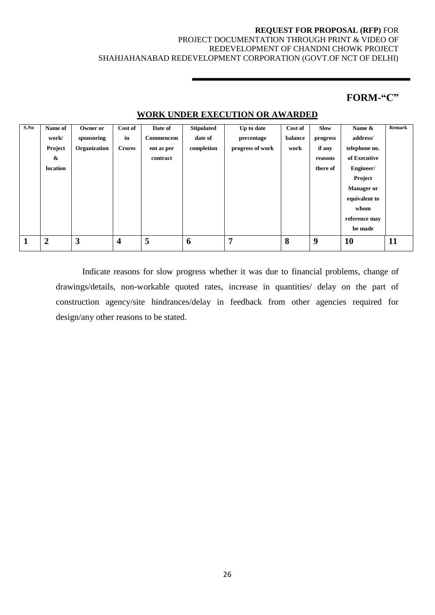## **FORM-"C"**

| S.No         | Name of           | Owner or     | Cost of                 | Date of    | <b>Stipulated</b> | Up to date       | Cost of | <b>Slow</b> | Name &            | <b>Remark</b> |
|--------------|-------------------|--------------|-------------------------|------------|-------------------|------------------|---------|-------------|-------------------|---------------|
|              | work/             | sponsoring   | in                      | Commencem  | date of           | percentage       | balance | progress    | address/          |               |
|              | Project           | Organization | <b>Crores</b>           | ent as per | completion        | progress of work | work    | if any      | telephone no.     |               |
|              | $\boldsymbol{\&}$ |              |                         | contract   |                   |                  |         | reasons     | of Executive      |               |
|              | location          |              |                         |            |                   |                  |         | there of    | Engineer/         |               |
|              |                   |              |                         |            |                   |                  |         |             | Project           |               |
|              |                   |              |                         |            |                   |                  |         |             | <b>Manager or</b> |               |
|              |                   |              |                         |            |                   |                  |         |             | equivalent to     |               |
|              |                   |              |                         |            |                   |                  |         |             | whom              |               |
|              |                   |              |                         |            |                   |                  |         |             | reference may     |               |
|              |                   |              |                         |            |                   |                  |         |             | be made           |               |
| $\mathbf{1}$ | $\overline{2}$    | 3            | $\overline{\mathbf{4}}$ | 5          | 6                 | 7                | 8       | 9           | 10                | 11            |
|              |                   |              |                         |            |                   |                  |         |             |                   |               |

### **WORK UNDER EXECUTION OR AWARDED**

Indicate reasons for slow progress whether it was due to financial problems, change of drawings/details, non-workable quoted rates, increase in quantities/ delay on the part of construction agency/site hindrances/delay in feedback from other agencies required for design/any other reasons to be stated.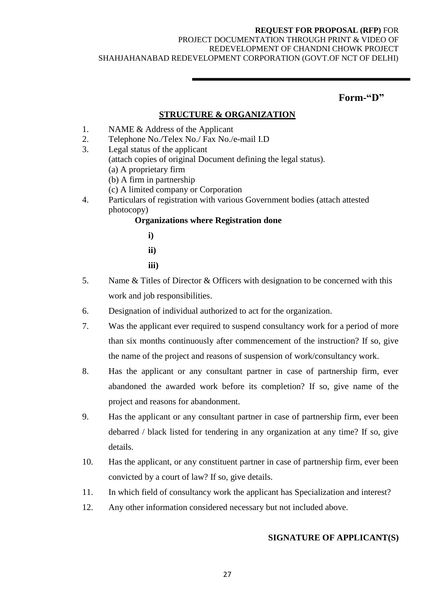#### **REQUEST FOR PROPOSAL (RFP)** FOR

#### PROJECT DOCUMENTATION THROUGH PRINT & VIDEO OF REDEVELOPMENT OF CHANDNI CHOWK PROJECT SHAHJAHANABAD REDEVELOPMENT CORPORATION (GOVT.OF NCT OF DELHI)

## **Form-"D"**

#### **STRUCTURE & ORGANIZATION**

- 1. NAME & Address of the Applicant
- 2. Telephone No./Telex No./ Fax No./e-mail I.D
- 3. Legal status of the applicant (attach copies of original Document defining the legal status). (a) A proprietary firm (b) A firm in partnership
	- (c) A limited company or Corporation
- 4. Particulars of registration with various Government bodies (attach attested photocopy)

## **Organizations where Registration done**

- **i) ii) iii)**
- 5. Name & Titles of Director & Officers with designation to be concerned with this work and job responsibilities.
- 6. Designation of individual authorized to act for the organization.
- 7. Was the applicant ever required to suspend consultancy work for a period of more than six months continuously after commencement of the instruction? If so, give the name of the project and reasons of suspension of work/consultancy work.
- 8. Has the applicant or any consultant partner in case of partnership firm, ever abandoned the awarded work before its completion? If so, give name of the project and reasons for abandonment.
- 9. Has the applicant or any consultant partner in case of partnership firm, ever been debarred / black listed for tendering in any organization at any time? If so, give details.
- 10. Has the applicant, or any constituent partner in case of partnership firm, ever been convicted by a court of law? If so, give details.
- 11. In which field of consultancy work the applicant has Specialization and interest?
- 12. Any other information considered necessary but not included above.

## **SIGNATURE OF APPLICANT(S)**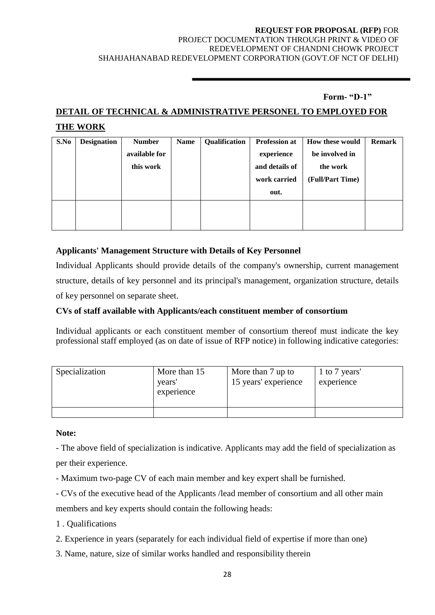## **Form- "D-1"**

## **DETAIL OF TECHNICAL & ADMINISTRATIVE PERSONEL TO EMPLOYED FOR THE WORK**

| S.No | <b>Designation</b> | <b>Number</b> | <b>Name</b> | Qualification | <b>Profession at</b> | How these would  | <b>Remark</b> |
|------|--------------------|---------------|-------------|---------------|----------------------|------------------|---------------|
|      |                    | available for |             |               | experience           | be involved in   |               |
|      |                    | this work     |             |               | and details of       | the work         |               |
|      |                    |               |             |               | work carried         | (Full/Part Time) |               |
|      |                    |               |             |               | out.                 |                  |               |
|      |                    |               |             |               |                      |                  |               |
|      |                    |               |             |               |                      |                  |               |

## **Applicants' Management Structure with Details of Key Personnel**

Individual Applicants should provide details of the company's ownership, current management structure, details of key personnel and its principal's management, organization structure, details of key personnel on separate sheet.

## **CVs of staff available with Applicants/each constituent member of consortium**

Individual applicants or each constituent member of consortium thereof must indicate the key professional staff employed (as on date of issue of RFP notice) in following indicative categories:

| Specialization | More than 15<br>vears'<br>experience | More than 7 up to<br>15 years' experience | 1 to 7 years'<br>experience |
|----------------|--------------------------------------|-------------------------------------------|-----------------------------|
|                |                                      |                                           |                             |

#### **Note:**

- The above field of specialization is indicative. Applicants may add the field of specialization as per their experience.

- Maximum two-page CV of each main member and key expert shall be furnished.

- CVs of the executive head of the Applicants /lead member of consortium and all other main members and key experts should contain the following heads:

- 1 . Qualifications
- 2. Experience in years (separately for each individual field of expertise if more than one)
- 3. Name, nature, size of similar works handled and responsibility therein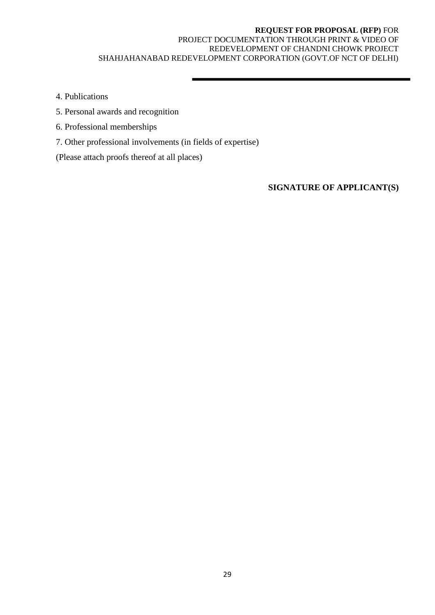4. Publications

- 5. Personal awards and recognition
- 6. Professional memberships
- 7. Other professional involvements (in fields of expertise)
- (Please attach proofs thereof at all places)

**SIGNATURE OF APPLICANT(S)**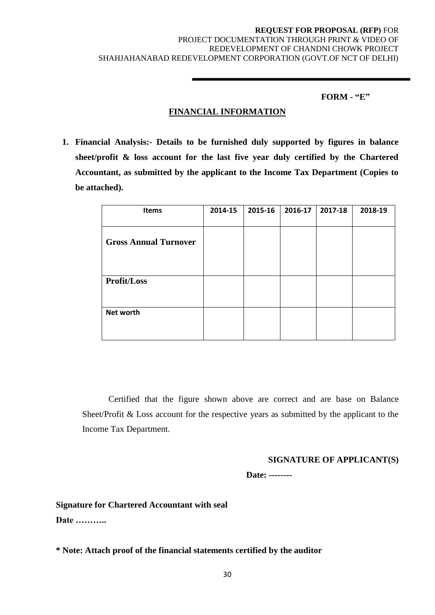#### **FORM - "E"**

## **FINANCIAL INFORMATION**

**1. Financial Analysis:- Details to be furnished duly supported by figures in balance sheet/profit & loss account for the last five year duly certified by the Chartered Accountant, as submitted by the applicant to the Income Tax Department (Copies to be attached).**

| <b>Items</b>                 | 2014-15 | 2015-16 | 2016-17 | 2017-18 | 2018-19 |
|------------------------------|---------|---------|---------|---------|---------|
| <b>Gross Annual Turnover</b> |         |         |         |         |         |
|                              |         |         |         |         |         |
| Profit/Loss                  |         |         |         |         |         |
| Net worth                    |         |         |         |         |         |

Certified that the figure shown above are correct and are base on Balance Sheet/Profit & Loss account for the respective years as submitted by the applicant to the Income Tax Department.

#### **SIGNATURE OF APPLICANT(S)**

 **Date: --------**

**Signature for Chartered Accountant with seal Date ………..**

**\* Note: Attach proof of the financial statements certified by the auditor**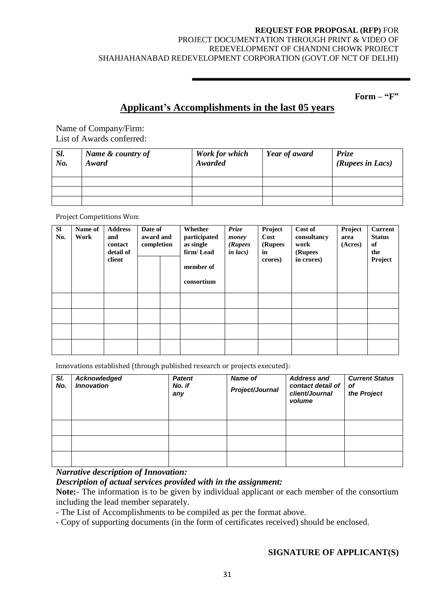#### **REQUEST FOR PROPOSAL (RFP)** FOR

### PROJECT DOCUMENTATION THROUGH PRINT & VIDEO OF REDEVELOPMENT OF CHANDNI CHOWK PROJECT SHAHJAHANABAD REDEVELOPMENT CORPORATION (GOVT.OF NCT OF DELHI)

**Form – "F"**

## **Applicant"s Accomplishments in the last 05 years**

Name of Company/Firm: List of Awards conferred:

| Sl.<br>No. | Name & country of<br>Award | Work for which<br>Awarded | <b>Year of award</b> | Prize<br>(Rupees in Lacs) |
|------------|----------------------------|---------------------------|----------------------|---------------------------|
|            |                            |                           |                      |                           |
|            |                            |                           |                      |                           |
|            |                            |                           |                      |                           |

Project Competitions Won:

| SI<br>No. | Name of<br>Work | <b>Address</b><br>and<br>contact<br>detail of<br>client | Date of<br>award and<br>completion | Whether<br>participated<br>as single<br>firm/Lead<br>member of<br>consortium | Prize<br>money<br>(Rupees<br>$in$ $lacs)$ | Project<br>Cost<br>(Rupees<br>in<br>crores) | Cost of<br>consultancy<br>work<br>(Rupees<br>in crores) | Project<br>area<br>(Acres) | <b>Current</b><br><b>Status</b><br>of<br>the<br>Project |
|-----------|-----------------|---------------------------------------------------------|------------------------------------|------------------------------------------------------------------------------|-------------------------------------------|---------------------------------------------|---------------------------------------------------------|----------------------------|---------------------------------------------------------|
|           |                 |                                                         |                                    |                                                                              |                                           |                                             |                                                         |                            |                                                         |
|           |                 |                                                         |                                    |                                                                              |                                           |                                             |                                                         |                            |                                                         |
|           |                 |                                                         |                                    |                                                                              |                                           |                                             |                                                         |                            |                                                         |
|           |                 |                                                         |                                    |                                                                              |                                           |                                             |                                                         |                            |                                                         |

Innovations established (through published research or projects executed):

| SI.<br>No. | Acknowledged<br><b>Innovation</b> | <b>Patent</b><br>No. if<br>any | <b>Name of</b><br>Project/Journal | <b>Address and</b><br>contact detail of<br>client/Journal<br>volume | <b>Current Status</b><br>οf<br>the Project |
|------------|-----------------------------------|--------------------------------|-----------------------------------|---------------------------------------------------------------------|--------------------------------------------|
|            |                                   |                                |                                   |                                                                     |                                            |
|            |                                   |                                |                                   |                                                                     |                                            |
|            |                                   |                                |                                   |                                                                     |                                            |

*Narrative description of Innovation:*

#### *Description of actual services provided with in the assignment:*

**Note:**- The information is to be given by individual applicant or each member of the consortium including the lead member separately.

- The List of Accomplishments to be compiled as per the format above.

- Copy of supporting documents (in the form of certificates received) should be enclosed.

#### **SIGNATURE OF APPLICANT(S)**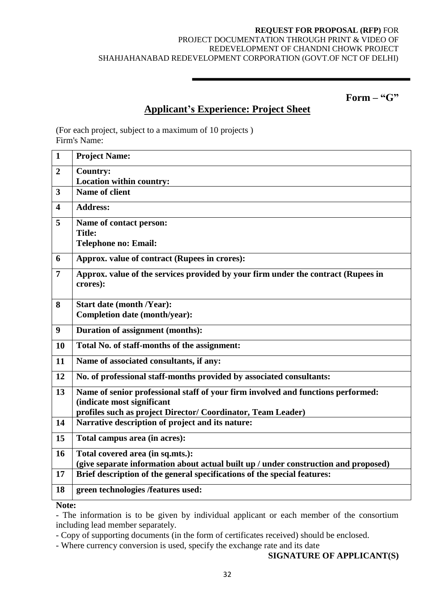**Form – "G"**

## **Applicant"s Experience: Project Sheet**

(For each project, subject to a maximum of 10 projects ) Firm's Name:

| $\mathbf{1}$            | <b>Project Name:</b>                                                                          |
|-------------------------|-----------------------------------------------------------------------------------------------|
| $\overline{2}$          | <b>Country:</b>                                                                               |
|                         | Location within country:                                                                      |
| 3                       | Name of client                                                                                |
| $\overline{\mathbf{4}}$ | <b>Address:</b>                                                                               |
| 5                       | Name of contact person:                                                                       |
|                         | <b>Title:</b>                                                                                 |
|                         | <b>Telephone no: Email:</b>                                                                   |
| 6                       | Approx. value of contract (Rupees in crores):                                                 |
| 7                       | Approx. value of the services provided by your firm under the contract (Rupees in<br>crores): |
| 8                       | <b>Start date (month /Year):</b>                                                              |
|                         | Completion date (month/year):                                                                 |
| 9                       | <b>Duration of assignment (months):</b>                                                       |
| 10                      | Total No. of staff-months of the assignment:                                                  |
| 11                      | Name of associated consultants, if any:                                                       |
| 12                      | No. of professional staff-months provided by associated consultants:                          |
| 13                      | Name of senior professional staff of your firm involved and functions performed:              |
|                         | (indicate most significant                                                                    |
|                         | profiles such as project Director/ Coordinator, Team Leader)                                  |
| 14                      | Narrative description of project and its nature:                                              |
| 15                      | Total campus area (in acres):                                                                 |
| 16                      | Total covered area (in sq.mts.):                                                              |
|                         | (give separate information about actual built up / under construction and proposed)           |
| 17                      | Brief description of the general specifications of the special features:                      |
| 18                      | green technologies /features used:                                                            |
| <b>BT</b>               |                                                                                               |

**Note:**

- The information is to be given by individual applicant or each member of the consortium including lead member separately.

- Copy of supporting documents (in the form of certificates received) should be enclosed.

- Where currency conversion is used, specify the exchange rate and its date

## **SIGNATURE OF APPLICANT(S)**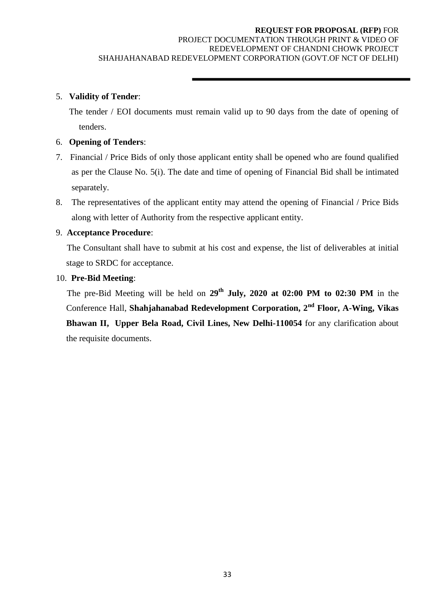### 5. **Validity of Tender**:

 The tender / EOI documents must remain valid up to 90 days from the date of opening of tenders.

### 6. **Opening of Tenders**:

- 7. Financial / Price Bids of only those applicant entity shall be opened who are found qualified as per the Clause No. 5(i). The date and time of opening of Financial Bid shall be intimated separately.
- 8. The representatives of the applicant entity may attend the opening of Financial / Price Bids along with letter of Authority from the respective applicant entity.

#### 9. **Acceptance Procedure**:

 The Consultant shall have to submit at his cost and expense, the list of deliverables at initial stage to SRDC for acceptance.

#### 10. **Pre-Bid Meeting**:

 The pre-Bid Meeting will be held on **29th July, 2020 at 02:00 PM to 02:30 PM** in the Conference Hall, **Shahjahanabad Redevelopment Corporation, 2nd Floor, A-Wing, Vikas Bhawan II, Upper Bela Road, Civil Lines, New Delhi-110054** for any clarification about the requisite documents.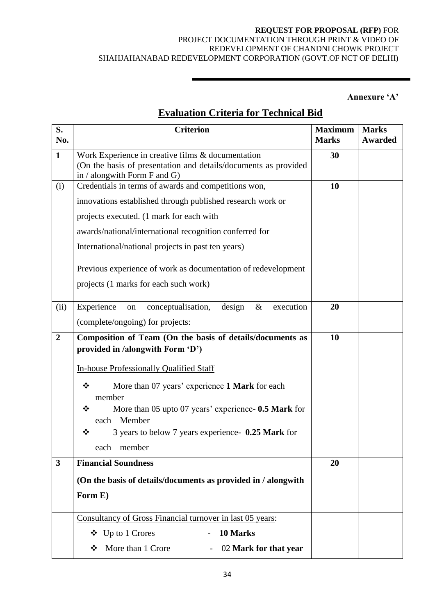## **REQUEST FOR PROPOSAL (RFP)** FOR

### PROJECT DOCUMENTATION THROUGH PRINT & VIDEO OF REDEVELOPMENT OF CHANDNI CHOWK PROJECT SHAHJAHANABAD REDEVELOPMENT CORPORATION (GOVT.OF NCT OF DELHI)

**Annexure "A"**

# **Evaluation Criteria for Technical Bid**

| S.<br>No.               | <b>Criterion</b>                                                                                                                                     | <b>Maximum</b><br><b>Marks</b> | <b>Marks</b><br><b>Awarded</b> |
|-------------------------|------------------------------------------------------------------------------------------------------------------------------------------------------|--------------------------------|--------------------------------|
| $\mathbf{1}$            | Work Experience in creative films & documentation<br>(On the basis of presentation and details/documents as provided<br>in / alongwith Form F and G) | 30                             |                                |
| (i)                     | Credentials in terms of awards and competitions won,                                                                                                 | 10                             |                                |
|                         | innovations established through published research work or                                                                                           |                                |                                |
|                         | projects executed. (1 mark for each with                                                                                                             |                                |                                |
|                         | awards/national/international recognition conferred for                                                                                              |                                |                                |
|                         | International/national projects in past ten years)                                                                                                   |                                |                                |
|                         | Previous experience of work as documentation of redevelopment                                                                                        |                                |                                |
|                         | projects (1 marks for each such work)                                                                                                                |                                |                                |
| (ii)                    | Experience<br>conceptualisation,<br>design<br>$\&$<br>execution<br>on                                                                                | 20                             |                                |
|                         | (complete/ongoing) for projects:                                                                                                                     |                                |                                |
| $\overline{2}$          | Composition of Team (On the basis of details/documents as                                                                                            | 10                             |                                |
|                         | provided in /alongwith Form 'D')                                                                                                                     |                                |                                |
|                         | In-house Professionally Qualified Staff                                                                                                              |                                |                                |
|                         | More than 07 years' experience 1 Mark for each<br>❖<br>member                                                                                        |                                |                                |
|                         | More than 05 upto 07 years' experience- 0.5 Mark for<br>❖                                                                                            |                                |                                |
|                         | each Member                                                                                                                                          |                                |                                |
|                         | 3 years to below 7 years experience- 0.25 Mark for<br>❖                                                                                              |                                |                                |
|                         | member<br>each<br><b>Financial Soundness</b>                                                                                                         |                                |                                |
| $\overline{\mathbf{3}}$ |                                                                                                                                                      | 20                             |                                |
|                         | (On the basis of details/documents as provided in / alongwith                                                                                        |                                |                                |
|                         | Form E)                                                                                                                                              |                                |                                |
|                         | Consultancy of Gross Financial turnover in last 05 years:                                                                                            |                                |                                |
|                         | $\bullet$ Up to 1 Crores<br>10 Marks                                                                                                                 |                                |                                |
|                         | More than 1 Crore<br>02 Mark for that year<br>❖                                                                                                      |                                |                                |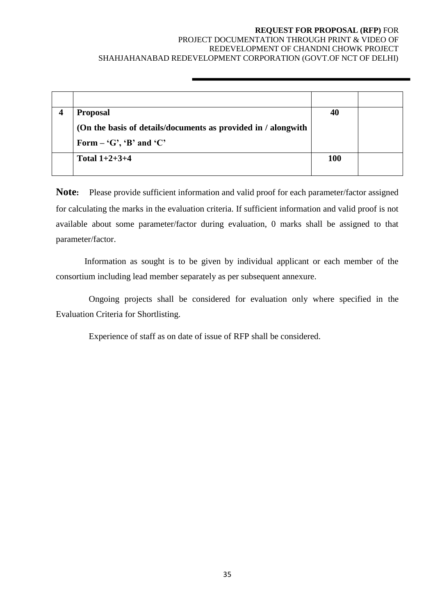## **REQUEST FOR PROPOSAL (RFP)** FOR

#### PROJECT DOCUMENTATION THROUGH PRINT & VIDEO OF REDEVELOPMENT OF CHANDNI CHOWK PROJECT SHAHJAHANABAD REDEVELOPMENT CORPORATION (GOVT.OF NCT OF DELHI)

| <b>Proposal</b>                                               | 40         |  |
|---------------------------------------------------------------|------------|--|
| (On the basis of details/documents as provided in / alongwith |            |  |
| Form $-$ 'G', 'B' and 'C'                                     |            |  |
| Total $1+2+3+4$                                               | <b>100</b> |  |
|                                                               |            |  |

**Note:** Please provide sufficient information and valid proof for each parameter/factor assigned for calculating the marks in the evaluation criteria. If sufficient information and valid proof is not available about some parameter/factor during evaluation, 0 marks shall be assigned to that parameter/factor.

 Information as sought is to be given by individual applicant or each member of the consortium including lead member separately as per subsequent annexure.

 Ongoing projects shall be considered for evaluation only where specified in the Evaluation Criteria for Shortlisting.

Experience of staff as on date of issue of RFP shall be considered.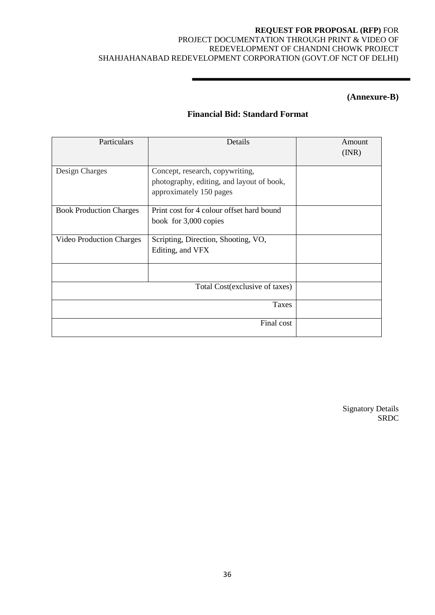#### **(Annexure-B)**

## **Financial Bid: Standard Format**

| Particulars                     | Details                                                                                                 | Amount<br>(INR) |
|---------------------------------|---------------------------------------------------------------------------------------------------------|-----------------|
| Design Charges                  | Concept, research, copywriting,<br>photography, editing, and layout of book,<br>approximately 150 pages |                 |
| <b>Book Production Charges</b>  | Print cost for 4 colour offset hard bound<br>book for 3,000 copies                                      |                 |
| <b>Video Production Charges</b> | Scripting, Direction, Shooting, VO,<br>Editing, and VFX                                                 |                 |
|                                 |                                                                                                         |                 |
|                                 | Total Cost (exclusive of taxes)                                                                         |                 |
|                                 | <b>Taxes</b>                                                                                            |                 |
|                                 | Final cost                                                                                              |                 |

Signatory Details SRDC